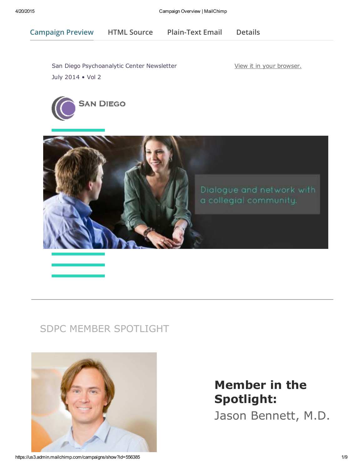Campaign Preview HTML Source [Plain-Text](javascript:;) Email [Details](http://us3.campaign-archive1.com/?u=e579b5babe4b487bafecbf868&id=284caccd86&e=[UNIQID])

San Diego Psychoanalytic Center [Newsletter](https://us3.admin.mailchimp.com/account/profile/) July 2014 • Vol 2

View it in your browser.





## SDPC MEMBER SPOTLIGHT



# Member in the Spotlight:

Jason Bennett, M.D.

https://us3.admin.mailchimp.com/campaigns/show?id=556385 1/9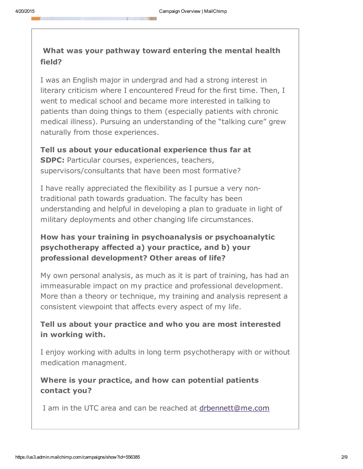### What was your pathway toward entering the mental health field?

I was an English major in undergrad and had a strong interest in literary criticism where I encountered Freud for the first time. Then, I went to medical school and became more interested in talking to patients than doing things to them (especially patients with chronic medical illness). Pursuing an understanding of the "talking cure" grew naturally from those experiences.

Tell us about your educational experience thus far at SDPC: Particular courses, experiences, teachers, supervisors/consultants that have been most formative?

I have really appreciated the flexibility as I pursue a very nontraditional path towards graduation. The faculty has been understanding and helpful in developing a plan to graduate in light of military deployments and other changing life circumstances.

### How has your training in psychoanalysis or psychoanalytic psychotherapy affected a) your practice, and b) your professional development? Other areas of life?

My own personal analysis, as much as it is part of training, has had an immeasurable impact on my practice and professional development. More than a theory or technique, my training and analysis represent a consistent viewpoint that affects every aspect of my life.

### Tell us about your practice and who you are most interested in working with.

I enjoy working with adults in long term psychotherapy with or without medication managment.

### Where is your practice, and how can potential [patients](mailto:drbennett@me.com?subject=Inquiry%20from%20SDPC%20Spotlight) contact you?

I am in the UTC area and can be reached at drbennett@me.com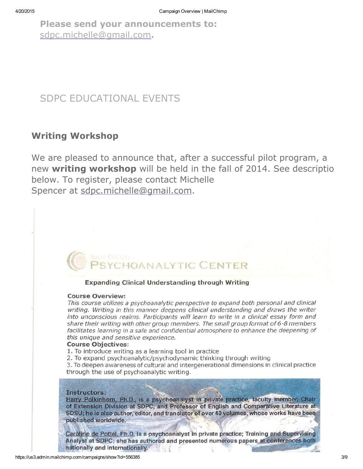Please send your announcements to: sdpc.michelle@gmail.com.

## SDPC EDUCATIONAL EVENTS

### Writing Workshop

We are pleased to [announce](mailto:sdpc.michelle@gmail.com) that, after a successful pilot program, a new writing workshop will be held in the fall of 2014. See description below. To register, please contact Michelle Spencer at sdpc.michelle@gmail.com.

# **DANALYTIC CENTER**

#### **Expanding Clinical Understanding through Writing**

#### **Course Overview:**

This course utilizes a psychoanalytic perspective to expand both personal and clinical writing. Writing in this manner deepens clinical understanding and draws the writer into unconscious realms. Participants will learn to write in a clinical essay form and share their writing with other group members. The small group format of 6-8 members facilitates learning in a safe and confidential atmosphere to enhance the deepening of this unique and sensitive experience.

#### **Course Objectives:**

1. To introduce writing as a learning tool in practice

2. To expand psychoanalytic/psychodynamic thinking through writing

3. To deepen awareness of cultural and intergenerational dimensions in clinical practice through the use of psychoanalytic writing.

#### Instructors:

Harry Polkinhorn, Ph.D., is a psychoanalyst in private practice, faculty member, Chair of Extension Division at SDPC, and Professor of English and Comparative Literature at SDSU; he is also author, editor, and translator of over 40 volumes, whose works have been published worldwide.

Caroline de Pottél, Ph.D. is a psychoanalyst in private practice; Training and Supervising Analyst at SDPC: she has authored and presented numerous papers at conferences both nationally and internationally.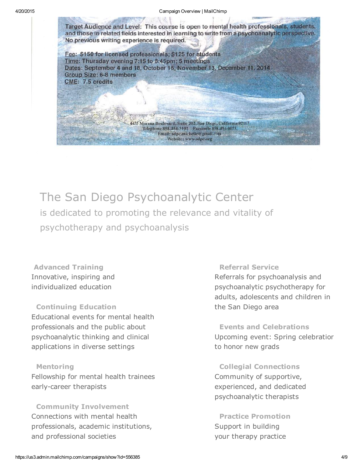

1455 Morena Boulevard, Suite 202, San Diego, California 92117 Telephone 858-454-3102 Facsimile 858-454-0075 Email: sdpc.michelle@gmail.com Website: www.sdpc.org

Fee: \$150 for licensed professionals; \$125 for students Time: Thursday evening 7:15 to 8:45pm; 5 meetings Dates: September 4 and 18, October 16, November 13, December 11, 2014 **Group Size: 6-8 members** CME: 7.5 credits

# The San Diego Psychoanalytic Center

is dedicated to promoting the relevance and vitality of psychotherapy and psychoanalysis

Advanced Training Innovative, inspiring and individualized education

Continuing Education Educational events for mental health professionals and the public about psychoanalytic thinking and clinical applications in diverse settings

#### Mentoring

Fellowship for mental health trainees early-career therapists

Community Involvement Connections with mental health professionals, academic institutions, and professional societies

Referral Service Referrals for psychoanalysis and psychoanalytic psychotherapy for adults, adolescents and children in the San Diego area

Events and Celebrations Upcoming event: Spring celebration to honor new grads

Collegial Connections Community of supportive, experienced, and dedicated psychoanalytic therapists

Practice Promotion Support in building your therapy practice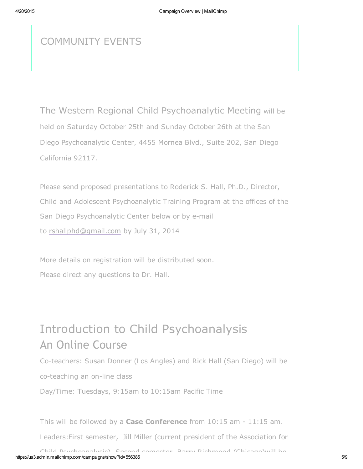## COMMUNITY EVENTS

The Western Regional Child Psychoanalytic Meeting will be held on Saturday October 25th and Sunday October 26th at the San Diego Psychoanalytic Center, 4455 Mornea Blvd., Suite 202, San Diego California 92117.

Please send proposed presentations to Roderick S. Hall, Ph.D., Director, Child and [Adolescent](mailto:rshallphd@gmail.com) Psychoanalytic Training Program at the offices of the San Diego Psychoanalytic Center below or by e-mail to rshallphd@gmail.com by July 31, 2014

More details on registration will be distributed soon. Please direct any questions to Dr. Hall.

# Introduction to Child Psychoanalysis An Online Course

Co-teachers: Susan Donner (Los Angles) and Rick Hall (San Diego) will be

co-teaching an on-line class

Day/Time: Tuesdays, 9:15am to 10:15am Pacific Time

This will be followed by a Case Conference from  $10:15$  am  $-11:15$  am.

Leaders:First semester, Jill Miller (current president of the Association for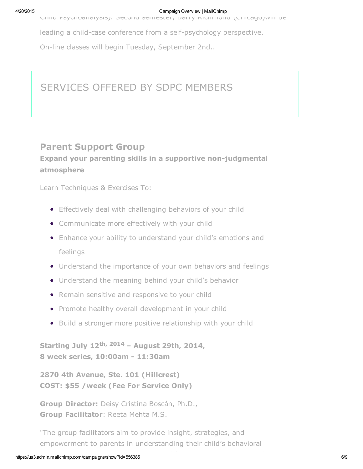Child Psychoanalysis). Second semester, Barry Richmond (Chicago)will be

leading a child-case conference from a self-psychology perspective.

On-line classes will begin Tuesday, September 2nd..

### SERVICES OFFERED BY SDPC MEMBERS

### Parent Support Group Expand your parenting skills in a supportive non-judgmental atmosphere

Learn Techniques & Exercises To:

- **•** Effectively deal with challenging behaviors of your child
- Communicate more effectively with your child
- Enhance your ability to understand your child's emotions and feelings
- Understand the importance of your own behaviors and feelings
- Understand the meaning behind your child's behavior
- Remain sensitive and responsive to your child
- Promote healthy overall development in your child
- Build a stronger more positive relationship with your child

Starting July 12<sup>th, 2014</sup> – August 29th, 2014, 8 week series, 10:00am - 11:30am

2870 4th Avenue, Ste. 101 (Hillcrest) COST: \$55 /week (Fee For Service Only)

Group Director: Deisy Cristina Boscán, Ph.D., Group Facilitator: Reeta Mehta M.S.

"The group facilitators aim to provide insight, strategies, and empowerment to parents in understanding their child's behavioral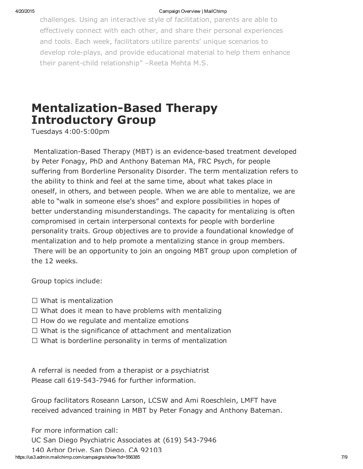#### 4/20/2015 Campaign Overview | MailChimp

challenges. Using an interactive style of facilitation, parents are able to effectively connect with each other, and share their personal experiences and tools. Each week, facilitators utilize parents' unique scenarios to develop role-plays, and provide educational material to help them enhance their parent-child relationship" -Reeta Mehta M.S.

# **Mentalization-Based Therapy** Introductory Group

Tuesdays 4:00-5:00pm

Mentalization-Based Therapy (MBT) is an evidence-based treatment developed by Peter Fonagy, PhD and Anthony Bateman MA, FRC Psych, for people suffering from Borderline Personality Disorder. The term mentalization refers to the ability to think and feel at the same time, about what takes place in oneself, in others, and between people. When we are able to mentalize, we are able to "walk in someone else's shoes" and explore possibilities in hopes of better understanding misunderstandings. The capacity for mentalizing is often compromised in certain interpersonal contexts for people with borderline personality traits. Group objectives are to provide a foundational knowledge of mentalization and to help promote a mentalizing stance in group members. There will be an opportunity to join an ongoing MBT group upon completion of the 12 weeks.

Group topics include:

- $\Box$  What is mentalization
- $\Box$  What does it mean to have problems with mentalizing
- $\Box$  How do we regulate and mentalize emotions
- $\Box$  What is the significance of attachment and mentalization
- $\Box$  What is borderline personality in terms of mentalization

A referral is needed from a therapist or a psychiatrist Please call 619-543-7946 for further information.

Group facilitators Roseann Larson, LCSW and Ami Roeschlein, LMFT have received advanced training in MBT by Peter Fonagy and Anthony Bateman.

For more information call:

UC San Diego Psychiatric Associates at (619) 543-7946

140 Arbor Drive, San Diego, CA 92103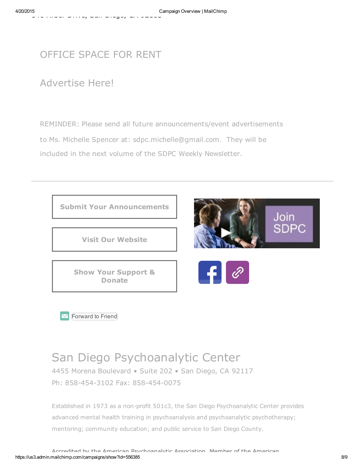## OFFICE SPACE FOR RENT

## Advertise Here!

REMINDER: Please send all future announcements/event advertisements to Ms. Michelle Spencer at: sdpc.michelle@gmail.com. They will be included in the next volume of the SDPC Weekly Newsletter.



Forward to Friend

## San Diego Psychoanalytic Center

4455 Morena Boulevard • Suite 202 • San Diego, CA 92117 Ph: 858-454-3102 Fax: 858-454-0075

Established in 1973 as a non-profit 501c3, the San Diego Psychoanalytic Center provides advanced mental health training in psychoanalysis and psychoanalytic psychotherapy; mentoring; community education; and public service to San Diego County.